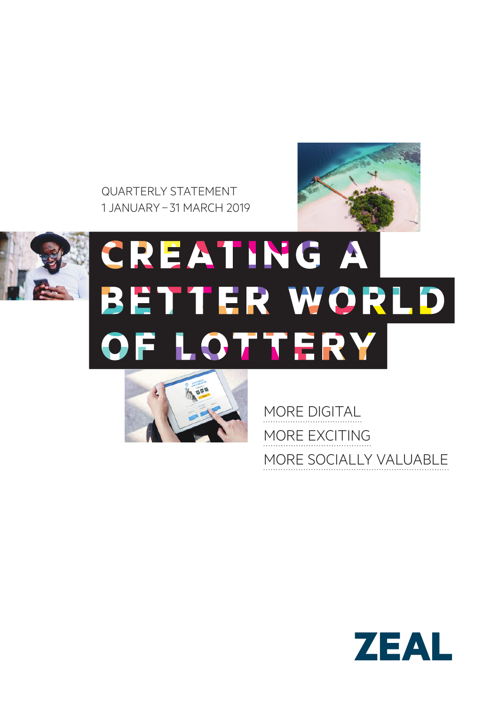QUARTERLY STATEMENT 1 JANUARY– 31 MARCH 2019





# **CREATING A** BETTER WORLD OF LOTTERY



MORE DIGITAL MORE EXCITING MORE SOCIALLY VALUABLE

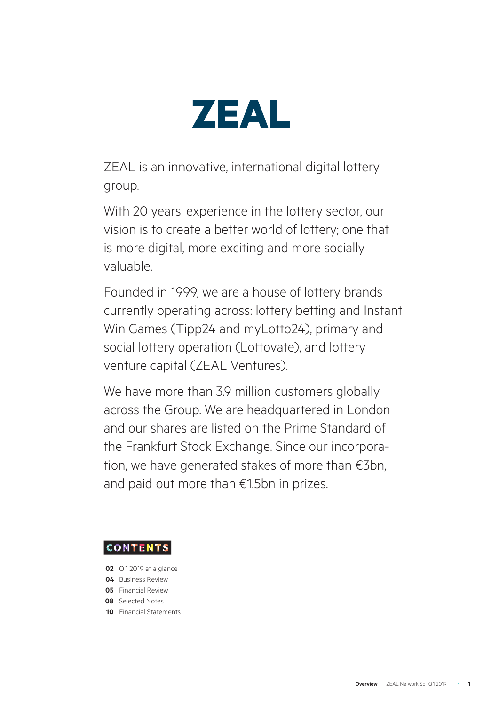

ZEAL is an innovative, international digital lottery group.

With 20 years' experience in the lottery sector, our vision is to create a better world of lottery; one that is more digital, more exciting and more socially valuable.

Founded in 1999, we are a house of lottery brands currently operating across: lottery betting and Instant Win Games (Tipp24 and myLotto24), primary and social lottery operation (Lottovate), and lottery venture capital (ZEAL Ventures).

We have more than 3.9 million customers globally across the Group. We are headquartered in London and our shares are listed on the Prime Standard of the Frankfurt Stock Exchange. Since our incorporation, we have generated stakes of more than €3bn, and paid out more than €1.5bn in prizes.

# **CONTENTS**

- **02** Q1 2019 at a glance
- **04** Business Review
- **05** Financial Review
- **08** Selected Notes
- **10** Financial Statements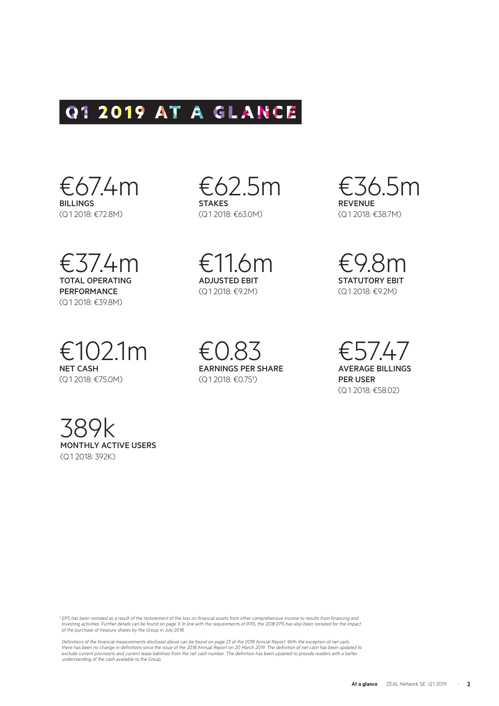# Q1 2019 AT A GLANCE



€37.4m TOTAL OPERATING PERFORMANCE (Q1 2018: €39.8M)

€102.1m NET CASH (Q1 2018: €75.0M)

€62.5m **STAKES** (Q1 2018: €63.0M)

€11.6m ADJUSTED EBIT (Q1 2018: €9.2M)

€0.83

 $($  Q1 2018: €0.75<sup>1</sup>)

EARNINGS PER SHARE

€36.5m REVENUE (Q1 2018: €38.7M)

€9.8m STATUTORY EBIT (Q1 2018: €9.2M)

€57.47 AVERAGE BILLINGS PER USER (Q1 2018: €58.02)

389k MONTHLY ACTIVE USERS (Q1 2018: 392K)

*¹ EPS has been restated as a result of the restatement of the loss on financial assets from other comprehensive income to results from financing and investing activities. Further details can be found on page 9. In line with the requirements of IFRS, the 2018 EPS has also been restated for the impact of the purchase of treasury shares by the Group in July 2018.* 

Definitions of the financial measurements disclosed above can be found on page 23 of the 2018 Annual Report. With the exception of net cash,<br>there has been no change in definitions since the issue of the 2018 Annual Report exclude current provisions and current lease liabilities from the net cash number. The definition has been updated to provide readers with a better *understanding of the cash available to the Group.*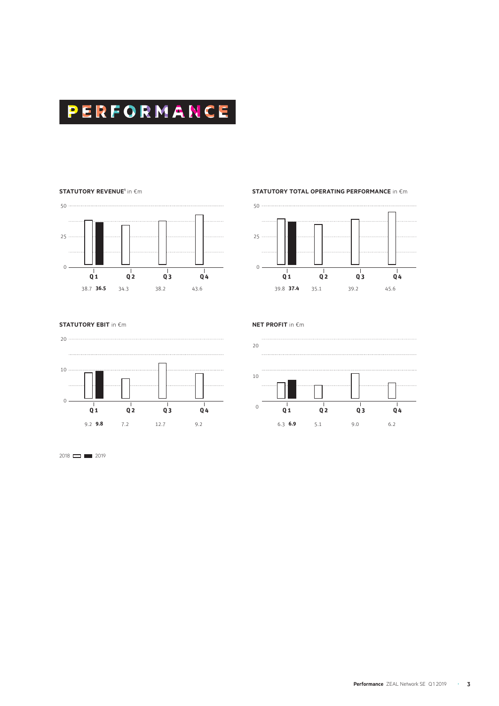

#### **STATUTORY REVENUE1** in �m



#### **STATUTORY TOTAL OPERATING PERFORMANCE** in €m



#### **STATUTORY EBIT** in €m



**NET PROFIT** in �m



 $2018$  2019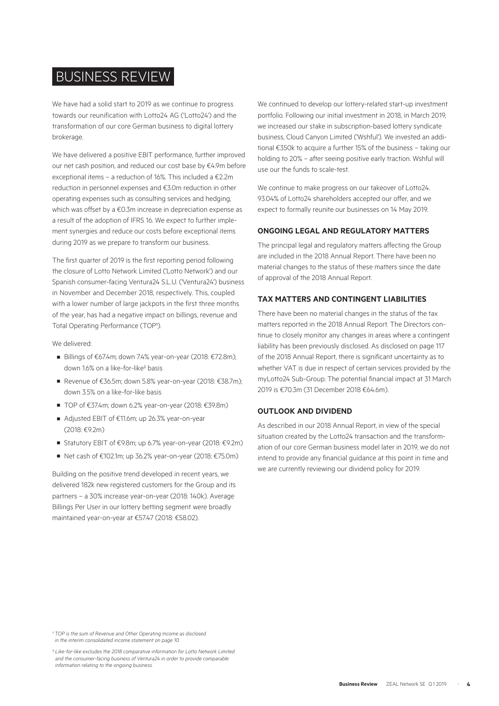# BUSINESS REVIEW

We have had a solid start to 2019 as we continue to progress towards our reunification with Lotto24 AG ('Lotto24') and the transformation of our core German business to digital lottery brokerage.

We have delivered a positive EBIT performance, further improved our net cash position, and reduced our cost base by €4.9m before exceptional items – a reduction of 16%. This included a €2.2m reduction in personnel expenses and €3.0m reduction in other operating expenses such as consulting services and hedging, which was offset by a €0.3m increase in depreciation expense as a result of the adoption of IFRS 16. We expect to further implement synergies and reduce our costs before exceptional items during 2019 as we prepare to transform our business.

The first quarter of 2019 is the first reporting period following the closure of Lotto Network Limited ('Lotto Network') and our Spanish consumer-facing Ventura24 S.L.U. ('Ventura24') business in November and December 2018, respectively. This, coupled with a lower number of large jackpots in the first three months of the year, has had a negative impact on billings, revenue and Total Operating Performance (TOP<sup>1</sup>).

#### We delivered:

- Billings of €67.4m; down 7.4% year-on-year (2018: €72.8m); down 1.6% on a like-for-like² basis
- Revenue of €36.5m; down 5.8% year-on-year (2018: €38.7m); down 3.5% on a like-for-like basis
- TOP of €37.4m; down 6.2% year-on-year (2018: €39.8m)
- Adjusted EBIT of €11.6m; up 26.3% year-on-year  $(2018.602m)$
- Statutory EBIT of €9.8m; up 6.7% year-on-year (2018: €9.2m)
- Net cash of €102.1m; up 36.2% year-on-year (2018: €75.0m)

Building on the positive trend developed in recent years, we delivered 182k new registered customers for the Group and its partners – a 30% increase year-on-year (2018: 140k). Average Billings Per User in our lottery betting segment were broadly maintained year-on-year at €57.47 (2018: €58.02).

We continued to develop our lottery-related start-up investment portfolio. Following our initial investment in 2018, in March 2019, we increased our stake in subscription-based lottery syndicate business, Cloud Canyon Limited ('Wshful'). We invested an additional €350k to acquire a further 15% of the business – taking our holding to 20% – after seeing positive early traction. Wshful will use our the funds to scale-test.

We continue to make progress on our takeover of Lotto24. 93.04% of Lotto24 shareholders accepted our offer, and we expect to formally reunite our businesses on 14 May 2019.

#### **ONGOING LEGAL AND REGULATORY MATTERS**

The principal legal and regulatory matters affecting the Group are included in the 2018 Annual Report. There have been no material changes to the status of these matters since the date of approval of the 2018 Annual Report.

#### **TAX MATTERS AND CONTINGENT LIABILITIES**

There have been no material changes in the status of the tax matters reported in the 2018 Annual Report. The Directors continue to closely monitor any changes in areas where a contingent liability has been previously disclosed. As disclosed on page 117 of the 2018 Annual Report, there is significant uncertainty as to whether VAT is due in respect of certain services provided by the myLotto24 Sub-Group. The potential financial impact at 31 March 2019 is €70.3m (31 December 2018 €64.6m).

#### **OUTLOOK AND DIVIDEND**

As described in our 2018 Annual Report, in view of the special situation created by the Lotto24 transaction and the transformation of our core German business model later in 2019, we do not intend to provide any financial guidance at this point in time and we are currently reviewing our dividend policy for 2019.

*¹ TOP is the sum of Revenue and Other Operating Income as disclosed in the interim consolidated income statement on page 10.* 

*² Like-for-like excludes the 2018 comparative information for Lotto Network Limited and the consumer-facing business of Ventura24 in order to provide comparable information relating to the ongoing business.*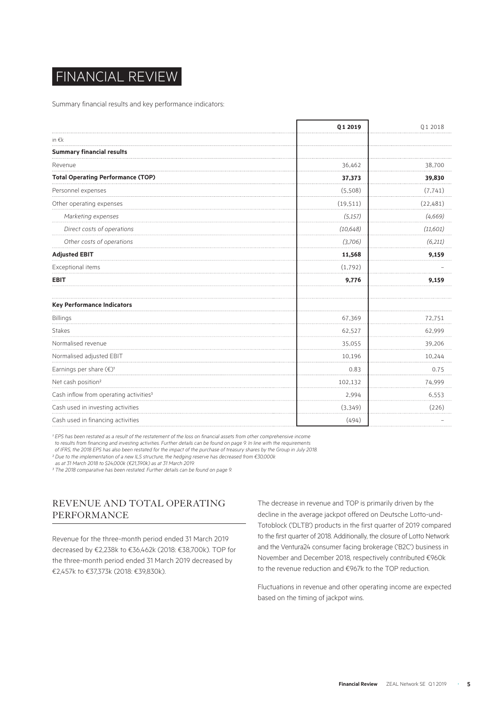# FINANCIAL REVIEW

Summary financial results and key performance indicators:

|                                                    | Q1 2019   | Q1 2018   |
|----------------------------------------------------|-----------|-----------|
| in $\epsilon$ k                                    |           |           |
| <b>Summary financial results</b>                   |           |           |
| Revenue                                            | 36,462    | 38,700    |
| <b>Total Operating Performance (TOP)</b>           | 37,373    | 39,830    |
| Personnel expenses                                 | (5,508)   | (7, 741)  |
| Other operating expenses                           | (19, 511) | (22, 481) |
| Marketing expenses                                 | (5, 157)  | (4, 669)  |
| Direct costs of operations                         | (10, 648) | (11,601)  |
| Other costs of operations                          | (3,706)   | (6,211)   |
| <b>Adjusted EBIT</b>                               | 11,568    | 9,159     |
| Exceptional items                                  | (1,792)   |           |
| <b>EBIT</b>                                        | 9,776     | 9,159     |
| <b>Key Performance Indicators</b>                  |           |           |
| Billings                                           | 67,369    | 72,751    |
| <b>Stakes</b>                                      | 62,527    | 62,999    |
| Normalised revenue                                 | 35,055    | 39,206    |
| Normalised adjusted EBIT                           | 10,196    | 10,244    |
| Earnings per share (€) <sup>1</sup>                | 0.83      | 0.75      |
| Net cash position <sup>2</sup>                     | 102,132   | 74,999    |
| Cash inflow from operating activities <sup>3</sup> | 2,994     | 6,553     |
| Cash used in investing activities                  | (3,349)   | (226)     |
| Cash used in financing activities                  | (494)     |           |

<sup>1</sup> EPS has been restated as a result of the restatement of the loss on financial assets from other comprehensive income

*to results from financing and investing activities. Further details can be found on page 9. In line with the requirements* 

*of IFRS, the 2018 EPS has also been restated for the impact of the purchase of treasury shares by the Group in July 2018. ² Due to the implementation of a new ILS structure, the hedging reserve has decreased from €30,000k* 

*as at 31 March 2018 to \$24,000k (€21,390k) as at 31 March 2019.* 

*³ The 2018 comparative has been restated. Further details can be found on page 9.* 

# REVENUE AND TOTAL OPERATING PERFORMANCE

Revenue for the three-month period ended 31 March 2019 decreased by €2,238k to €36,462k (2018: €38,700k). TOP for the three-month period ended 31 March 2019 decreased by €2,457k to €37,373k (2018: €39,830k).

The decrease in revenue and TOP is primarily driven by the decline in the average jackpot offered on Deutsche Lotto-und-Totoblock ('DLTB') products in the first quarter of 2019 compared to the first quarter of 2018. Additionally, the closure of Lotto Network and the Ventura24 consumer facing brokerage ('B2C') business in November and December 2018, respectively contributed €960k to the revenue reduction and €967k to the TOP reduction.

Fluctuations in revenue and other operating income are expected based on the timing of jackpot wins.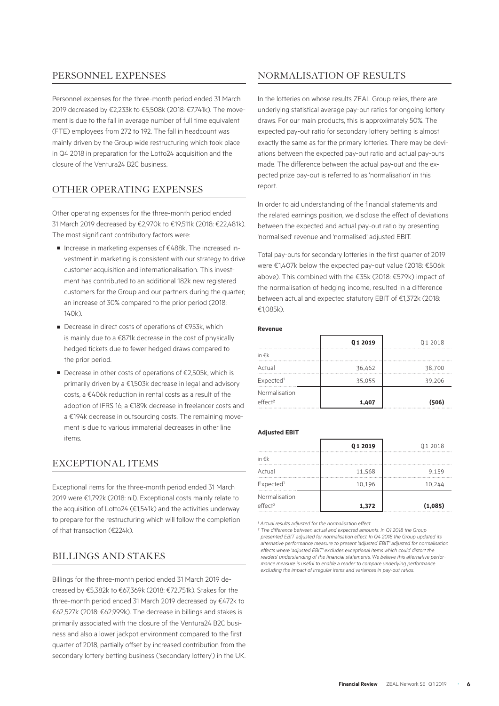## PERSONNEL EXPENSES

Personnel expenses for the three-month period ended 31 March 2019 decreased by €2,233k to €5,508k (2018: €7,741k). The movement is due to the fall in average number of full time equivalent (FTE) employees from 272 to 192. The fall in headcount was mainly driven by the Group wide restructuring which took place in Q4 2018 in preparation for the Lotto24 acquisition and the closure of the Ventura24 B2C business.

# OTHER OPERATING EXPENSES

Other operating expenses for the three-month period ended 31 March 2019 decreased by €2,970k to €19,511k (2018: €22,481k). The most significant contributory factors were:

- Increase in marketing expenses of €488k. The increased investment in marketing is consistent with our strategy to drive customer acquisition and internationalisation. This investment has contributed to an additional 182k new registered customers for the Group and our partners during the quarter; an increase of 30% compared to the prior period (2018:  $140k$
- Decrease in direct costs of operations of €953k, which is mainly due to a €871k decrease in the cost of physically hedged tickets due to fewer hedged draws compared to the prior period.
- Decrease in other costs of operations of €2,505k, which is primarily driven by a €1,503k decrease in legal and advisory costs, a €406k reduction in rental costs as a result of the adoption of IFRS 16, a €189k decrease in freelancer costs and a €194k decrease in outsourcing costs. The remaining movement is due to various immaterial decreases in other line items.

# EXCEPTIONAL ITEMS

Exceptional items for the three-month period ended 31 March 2019 were €1,792k (2018: nil). Exceptional costs mainly relate to the acquisition of Lotto24 (€1,541k) and the activities underway to prepare for the restructuring which will follow the completion of that transaction (€224k).

#### BILLINGS AND STAKES

Billings for the three-month period ended 31 March 2019 decreased by €5,382k to €67,369k (2018: €72,751k). Stakes for the three-month period ended 31 March 2019 decreased by €472k to €62,527k (2018: €62,999k). The decrease in billings and stakes is primarily associated with the closure of the Ventura24 B2C business and also a lower jackpot environment compared to the first quarter of 2018, partially offset by increased contribution from the secondary lottery betting business ('secondary lottery') in the UK.

# NORMALISATION OF RESULTS

In the lotteries on whose results ZEAL Group relies, there are underlying statistical average pay-out ratios for ongoing lottery draws. For our main products, this is approximately 50%. The expected pay-out ratio for secondary lottery betting is almost exactly the same as for the primary lotteries. There may be deviations between the expected pay-out ratio and actual pay-outs made. The difference between the actual pay-out and the expected prize pay-out is referred to as 'normalisation' in this report.

In order to aid understanding of the financial statements and the related earnings position, we disclose the effect of deviations between the expected and actual pay-out ratio by presenting 'normalised' revenue and 'normalised' adjusted EBIT.

Total pay-outs for secondary lotteries in the first quarter of 2019 were €1,407k below the expected pay-out value (2018: €506k above). This combined with the €35k (2018: €579k) impact of the normalisation of hedging income, resulted in a difference between actual and expected statutory EBIT of €1,372k (2018: €1,085k).

#### **Revenue**

|                                      | Q1 2019 | Q1 2018 |
|--------------------------------------|---------|---------|
| in $\epsilon$ k                      |         |         |
| Actual                               | 36,462  | 38,700  |
| Expected <sup>1</sup>                | 35,055  | 39,206  |
| Normalisation<br>effect <sup>2</sup> | 1,407   | (506)   |
|                                      |         |         |

#### **Adjusted EBIT**

|                                      | Q1 2019 | Q1 2018 |
|--------------------------------------|---------|---------|
| in $\epsilon$ k                      |         |         |
| Actual                               | 11,568  | 9,159   |
| Expected <sup>1</sup>                | 10,196  | 10,244  |
| Normalisation<br>effect <sup>2</sup> | 1,372   | (1,085) |

<sup>1</sup> Actual results adjusted for the normalisation effect.

*² The difference between actual and expected amounts. In Q1 2018 the Group presented EBIT adjusted for normalisation effect. In Q4 2018 the Group updated its alternative performance measure to present 'adjusted EBIT' adjusted for normalisation effects where 'adjusted EBIT' excludes exceptional items which could distort the readers' understanding of the financial statements. We believe this alternative performance measure is useful to enable a reader to compare underlying performance excluding the impact of irregular items and variances in pay-out ratios.*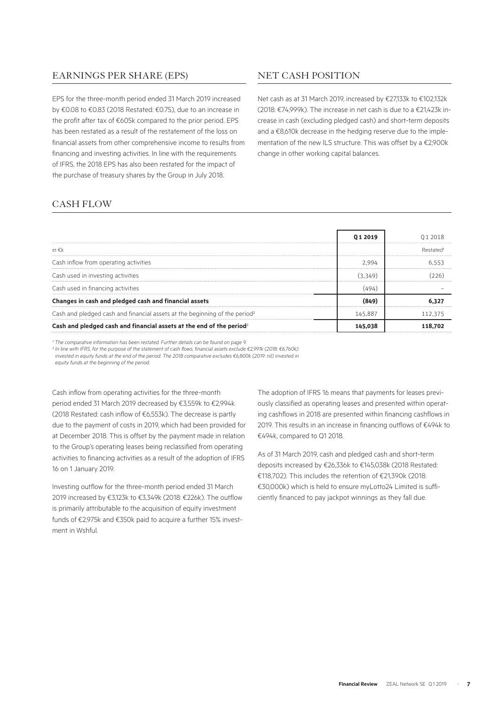# EARNINGS PER SHARE (EPS)

EPS for the three-month period ended 31 March 2019 increased by €0.08 to €0.83 (2018 Restated: €0.75), due to an increase in the profit after tax of €605k compared to the prior period. EPS has been restated as a result of the restatement of the loss on financial assets from other comprehensive income to results from financing and investing activities. In line with the requirements of IFRS, the 2018 EPS has also been restated for the impact of the purchase of treasury shares by the Group in July 2018.

# NET CASH POSITION

Net cash as at 31 March 2019, increased by €27,133k to €102,132k (2018: €74,999k). The increase in net cash is due to a €21,423k increase in cash (excluding pledged cash) and short-term deposits and a €8,610k decrease in the hedging reserve due to the implementation of the new ILS structure. This was offset by a €2,900k change in other working capital balances.

# CASH FLOW

|                                                                                        | 012019  | 012018   |
|----------------------------------------------------------------------------------------|---------|----------|
| in $\notin k$                                                                          |         | Restated |
| Cash inflow from operating activities                                                  | ን ዓዓ4   | 6553     |
| Cash used in investing activities                                                      | (3.349) |          |
| Cash used in financing activities                                                      |         |          |
| Changes in cash and pledged cash and financial assets                                  |         |          |
| Cash and pledged cash and financial assets at the beginning of the period <sup>2</sup> | 145,887 | 112.375  |
| Cash and pledged cash and financial assets at the end of the period?                   | 145.038 | 118.702  |

<sup>1</sup> The comparative information has been restated. Further details can be found on page 9.

*² In line with IFRS, for the purpose of the statement of cash flows, financial assets exclude €2,991k (2018: €6,760k)* 

*invested in equity funds at the end of the period. The 2018 comparative excludes €6,800k (2019: nil) invested in* 

*equity funds at the beginning of the period.* 

Cash inflow from operating activities for the three-month period ended 31 March 2019 decreased by €3,559k to €2,994k (2018 Restated: cash inflow of €6,553k). The decrease is partly due to the payment of costs in 2019, which had been provided for at December 2018. This is offset by the payment made in relation to the Group's operating leases being reclassified from operating activities to financing activities as a result of the adoption of IFRS 16 on 1 January 2019.

Investing outflow for the three-month period ended 31 March 2019 increased by €3,123k to €3,349k (2018: €226k). The outflow is primarily attributable to the acquisition of equity investment funds of €2,975k and €350k paid to acquire a further 15% investment in Wshful.

The adoption of IFRS 16 means that payments for leases previously classified as operating leases and presented within operating cashflows in 2018 are presented within financing cashflows in 2019. This results in an increase in financing outflows of €494k to €494k, compared to Q1 2018.

As of 31 March 2019, cash and pledged cash and short-term deposits increased by €26,336k to €145,038k (2018 Restated: €118,702). This includes the retention of €21,390k (2018: €30,000k) which is held to ensure myLotto24 Limited is sufficiently financed to pay jackpot winnings as they fall due.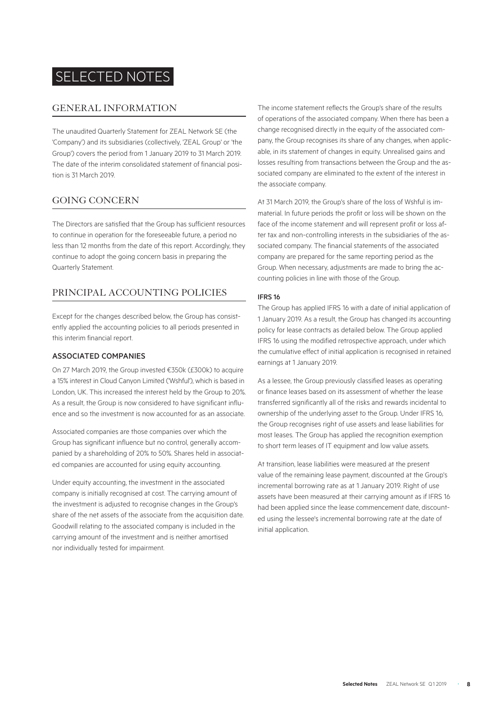# SELECTED NOTES

#### GENERAL INFORMATION

The unaudited Quarterly Statement for ZEAL Network SE (the 'Company') and its subsidiaries (collectively, 'ZEAL Group' or 'the Group') covers the period from 1 January 2019 to 31 March 2019. The date of the interim consolidated statement of financial position is 31 March 2019.

# GOING CONCERN

The Directors are satisfied that the Group has sufficient resources to continue in operation for the foreseeable future, a period no less than 12 months from the date of this report. Accordingly, they continue to adopt the going concern basis in preparing the Quarterly Statement.

# PRINCIPAL ACCOUNTING POLICIES

Except for the changes described below, the Group has consistently applied the accounting policies to all periods presented in this interim financial report.

#### ASSOCIATED COMPANIES

On 27 March 2019, the Group invested €350k (£300k) to acquire a 15% interest in Cloud Canyon Limited ('Wshful'), which is based in London, UK. This increased the interest held by the Group to 20%. As a result, the Group is now considered to have significant influence and so the investment is now accounted for as an associate.

Associated companies are those companies over which the Group has significant influence but no control, generally accompanied by a shareholding of 20% to 50%. Shares held in associated companies are accounted for using equity accounting.

Under equity accounting, the investment in the associated company is initially recognised at cost. The carrying amount of the investment is adjusted to recognise changes in the Group's share of the net assets of the associate from the acquisition date. Goodwill relating to the associated company is included in the carrying amount of the investment and is neither amortised nor individually tested for impairment.

The income statement reflects the Group's share of the results of operations of the associated company. When there has been a change recognised directly in the equity of the associated company, the Group recognises its share of any changes, when applicable, in its statement of changes in equity. Unrealised gains and losses resulting from transactions between the Group and the associated company are eliminated to the extent of the interest in the associate company.

At 31 March 2019, the Group's share of the loss of Wshful is immaterial. In future periods the profit or loss will be shown on the face of the income statement and will represent profit or loss after tax and non-controlling interests in the subsidiaries of the associated company. The financial statements of the associated company are prepared for the same reporting period as the Group. When necessary, adjustments are made to bring the accounting policies in line with those of the Group.

#### IFRS 16

The Group has applied IFRS 16 with a date of initial application of 1 January 2019. As a result, the Group has changed its accounting policy for lease contracts as detailed below. The Group applied IFRS 16 using the modified retrospective approach, under which the cumulative effect of initial application is recognised in retained earnings at 1 January 2019.

As a lessee, the Group previously classified leases as operating or finance leases based on its assessment of whether the lease transferred significantly all of the risks and rewards incidental to ownership of the underlying asset to the Group. Under IFRS 16, the Group recognises right of use assets and lease liabilities for most leases. The Group has applied the recognition exemption to short term leases of IT equipment and low value assets.

At transition, lease liabilities were measured at the present value of the remaining lease payment, discounted at the Group's incremental borrowing rate as at 1 January 2019. Right of use assets have been measured at their carrying amount as if IFRS 16 had been applied since the lease commencement date, discounted using the lessee's incremental borrowing rate at the date of initial application.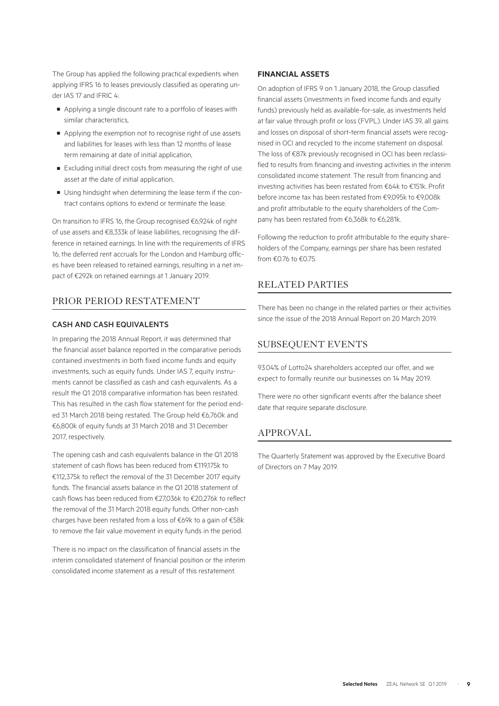The Group has applied the following practical expedients when applying IFRS 16 to leases previously classified as operating under IAS 17 and IFRIC 4:

- Applying a single discount rate to a portfolio of leases with similar characteristics,
- Applying the exemption not to recognise right of use assets and liabilities for leases with less than 12 months of lease term remaining at date of initial application,
- Excluding initial direct costs from measuring the right of use asset at the date of initial application,
- Using hindsight when determining the lease term if the contract contains options to extend or terminate the lease.

On transition to IFRS 16, the Group recognised €6,924k of right of use assets and €8,333k of lease liabilities, recognising the difference in retained earnings. In line with the requirements of IFRS 16, the deferred rent accruals for the London and Hamburg offices have been released to retained earnings, resulting in a net impact of €292k on retained earnings at 1 January 2019.

#### PRIOR PERIOD RESTATEMENT

#### CASH AND CASH EQUIVALENTS

In preparing the 2018 Annual Report, it was determined that the financial asset balance reported in the comparative periods contained investments in both fixed income funds and equity investments, such as equity funds. Under IAS 7, equity instruments cannot be classified as cash and cash equivalents. As a result the Q1 2018 comparative information has been restated. This has resulted in the cash flow statement for the period ended 31 March 2018 being restated. The Group held €6,760k and €6,800k of equity funds at 31 March 2018 and 31 December 2017, respectively.

The opening cash and cash equivalents balance in the Q1 2018 statement of cash flows has been reduced from €119,175k to €112,375k to reflect the removal of the 31 December 2017 equity funds. The financial assets balance in the Q1 2018 statement of cash flows has been reduced from €27,036k to €20,276k to reflect the removal of the 31 March 2018 equity funds. Other non-cash charges have been restated from a loss of €69k to a gain of €58k to remove the fair value movement in equity funds in the period.

There is no impact on the classification of financial assets in the interim consolidated statement of financial position or the interim consolidated income statement as a result of this restatement.

#### **FINANCIAL ASSETS**

On adoption of IFRS 9 on 1 January 2018, the Group classified financial assets (investments in fixed income funds and equity funds) previously held as available-for-sale, as investments held at fair value through profit or loss (FVPL). Under IAS 39, all gains and losses on disposal of short-term financial assets were recognised in OCI and recycled to the income statement on disposal. The loss of €87k previously recognised in OCI has been reclassified to results from financing and investing activities in the interim consolidated income statement. The result from financing and investing activities has been restated from €64k to €151k. Profit before income tax has been restated from €9,095k to €9,008k and profit attributable to the equity shareholders of the Company has been restated from €6,368k to €6,281k.

Following the reduction to profit attributable to the equity shareholders of the Company, earnings per share has been restated from €0.76 to €0.75.

# RELATED PARTIES

There has been no change in the related parties or their activities since the issue of the 2018 Annual Report on 20 March 2019.

#### SUBSEQUENT EVENTS

93.04% of Lotto24 shareholders accepted our offer, and we expect to formally reunite our businesses on 14 May 2019.

There were no other significant events after the balance sheet date that require separate disclosure.

#### APPROVAL

The Quarterly Statement was approved by the Executive Board of Directors on 7 May 2019.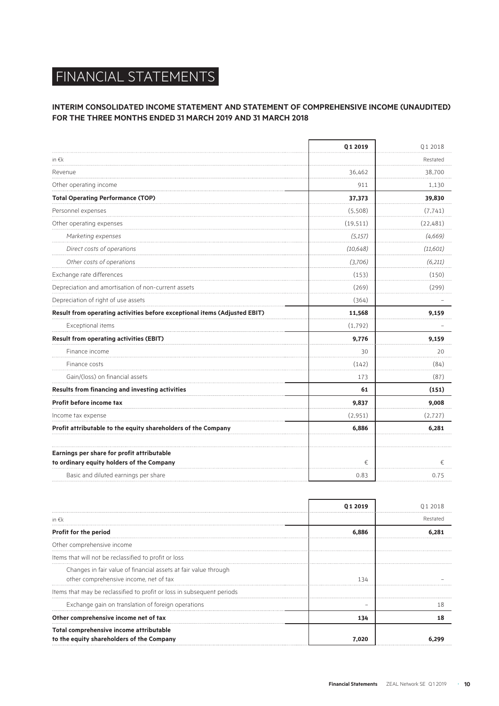# FINANCIAL STATEMENTS

## **INTERIM CONSOLIDATED INCOME STATEMENT AND STATEMENT OF COMPREHENSIVE INCOME (UNAUDITED) FOR THE THREE MONTHS ENDED 31 MARCH 2019 AND 31 MARCH 2018**

|                                                                           | Q1 2019   | 012018    |
|---------------------------------------------------------------------------|-----------|-----------|
| in $\epsilon$ k                                                           |           | Restated  |
| Revenue                                                                   | 36,462    | 38,700    |
| Other operating income                                                    | 911       | 1,130     |
| <b>Total Operating Performance (TOP)</b>                                  | 37,373    | 39,830    |
| Personnel expenses                                                        | (5,508)   | (7, 741)  |
| Other operating expenses                                                  | (19, 511) | (22, 481) |
| Marketing expenses                                                        | (5, 157)  | (4,669)   |
| Direct costs of operations                                                | (10, 648) | (11,601)  |
| Other costs of operations                                                 | (3,706)   | (6,211)   |
| Exchange rate differences                                                 | (153)     | (150)     |
| Depreciation and amortisation of non-current assets                       | (269)     | (299)     |
| Depreciation of right of use assets                                       | (364)     |           |
| Result from operating activities before exceptional items (Adjusted EBIT) | 11,568    | 9,159     |
| Exceptional items                                                         | (1,792)   |           |
| <b>Result from operating activities (EBIT)</b>                            | 9,776     | 9,159     |
| Finance income                                                            | 30        | 20        |
| Finance costs                                                             | (142)     | (84)      |
| Gain/(loss) on financial assets                                           | 173       | (87)      |
| Results from financing and investing activities                           | 61        | (151)     |
| Profit before income tax                                                  | 9,837     | 9,008     |
| Income fax expense                                                        | (2,951)   | (2, 727)  |
| Profit attributable to the equity shareholders of the Company             | 6,886     | 6,281     |
| Earnings per share for profit attributable                                |           |           |
| to ordinary equity holders of the Company                                 | €         | €         |
| Basic and diluted earnings per share                                      | 0.83      | 0.75      |

|                                                                                                           | 01 2019 | 012018   |
|-----------------------------------------------------------------------------------------------------------|---------|----------|
| in $\epsilon$ k                                                                                           |         | Restated |
| Profit for the period                                                                                     | 6.886   |          |
| Other comprehensive income                                                                                |         |          |
| Items that will not be reclassified to profit or loss                                                     |         |          |
| Changes in fair value of financial assets at fair value through<br>other comprehensive income, net of tax | 134     |          |
| Items that may be reclassified to profit or loss in subsequent periods                                    |         |          |
| Exchange gain on translation of foreign operations                                                        |         |          |
| Other comprehensive income net of tax                                                                     | 134     |          |
| Total comprehensive income attributable<br>to the equity shareholders of the Company                      |         |          |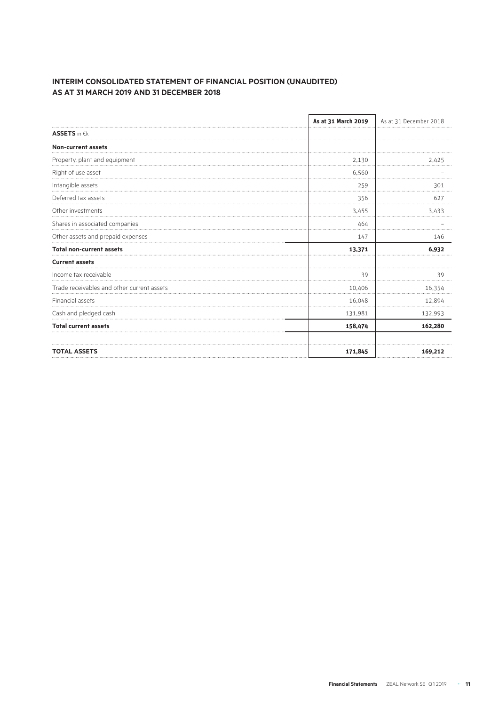### **INTERIM CONSOLIDATED STATEMENT OF FINANCIAL POSITION (UNAUDITED) AS AT 31 MARCH 2019 AND 31 DECEMBER 2018**

|                                            | As at 31 March 2019 | As at 31 December 2018 |  |
|--------------------------------------------|---------------------|------------------------|--|
| <b>ASSETS</b> in €k                        |                     |                        |  |
| Non-current assets                         |                     |                        |  |
| Property, plant and equipment              | 2,130               | 2,425                  |  |
| Right of use asset                         | 6,560               |                        |  |
| Intangible assets                          | 259                 | 301                    |  |
| Deferred tax assets                        | 356                 | 627                    |  |
| Other investments                          | 3,455               | 3,433                  |  |
| Shares in associated companies             | 464                 |                        |  |
| Other assets and prepaid expenses          | 147                 | 146                    |  |
| <b>Total non-current assets</b>            | 13,371              | 6,932                  |  |
| <b>Current assets</b>                      |                     |                        |  |
| Income tax receivable                      | 39                  | 39                     |  |
| Trade receivables and other current assets | 10,406              | 16,354                 |  |
| Financial assets                           | 16,048              | 12,894                 |  |
| Cash and pledged cash                      | 131,981             | 132,993                |  |
| <b>Total current assets</b>                | 158,474             | 162,280                |  |
| <b>TOTAL ASSETS</b>                        | 171,845             | 169,212                |  |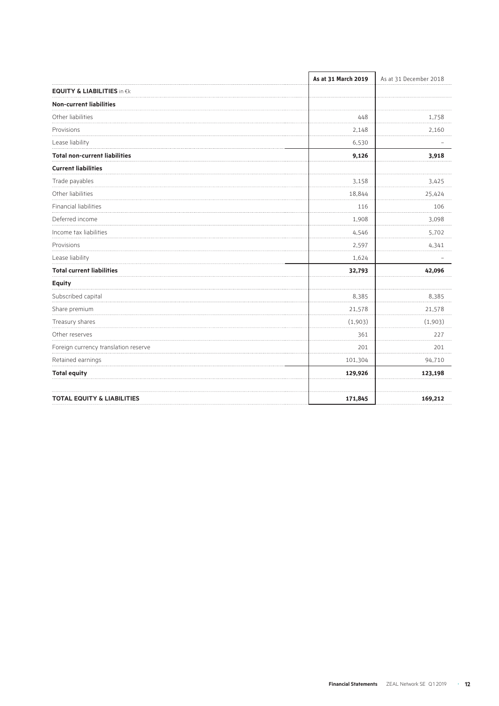|                                       | As at 31 March 2019 | As at 31 December 2018 |
|---------------------------------------|---------------------|------------------------|
| <b>EQUITY &amp; LIABILITIES in €k</b> |                     |                        |
| <b>Non-current liabilities</b>        |                     |                        |
| Other liabilities                     | 448                 | 1,758                  |
| Provisions                            | 2,148               | 2,160                  |
| Lease liability                       | 6,530               |                        |
| <b>Total non-current liabilities</b>  | 9,126               | 3,918                  |
| <b>Current liabilities</b>            |                     |                        |
| Trade payables                        | 3,158               | 3,425                  |
| Other liabilities                     | 18,844              | 25,424                 |
| Financial liabilities                 | 116                 | 106                    |
| Deferred income                       | 1,908               | 3,098                  |
| Income tax liabilities                | 4,546               | 5,702                  |
| Provisions                            | 2,597               | 4,341                  |
| Lease liability                       | 1,624               |                        |
| <b>Total current liabilities</b>      | 32,793              | 42,096                 |
| Equity                                |                     |                        |
| Subscribed capital                    | 8,385               | 8,385                  |
| Share premium                         | 21,578              | 21,578                 |
| Treasury shares                       | (1,903)             | (1,903)                |
| Other reserves                        | 361                 | 227                    |
| Foreign currency translation reserve  | 201                 | 201                    |
| Retained earnings                     | 101,304             | 94,710                 |
| <b>Total equity</b>                   | 129,926             | 123,198                |
| <b>TOTAL EQUITY &amp; LIABILITIES</b> | 171,845             | 169,212                |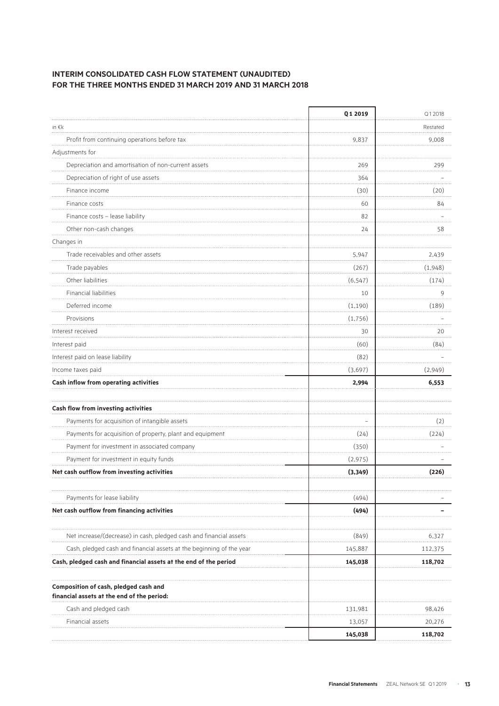## **INTERIM CONSOLIDATED CASH FLOW STATEMENT (UNAUDITED) FOR THE THREE MONTHS ENDED 31 MARCH 2019 AND 31 MARCH 2018**

|                                                                                     | Q1 2019  | Q12018   |
|-------------------------------------------------------------------------------------|----------|----------|
| in $\epsilon$ k                                                                     |          | Restated |
| Profit from continuing operations before tax                                        | 9,837    | 9,008    |
| Adjustments for                                                                     |          |          |
| Depreciation and amortisation of non-current assets                                 | 269      | 299      |
| Depreciation of right of use assets                                                 | 364      |          |
| Finance income                                                                      | (30)     | (20)     |
| Finance costs                                                                       | 60       | 84       |
| Finance costs - lease liability                                                     | 82       |          |
| Other non-cash changes                                                              | 24       | 58       |
| Changes in                                                                          |          |          |
| Trade receivables and other assets                                                  | 5,947    | 2,439    |
| Trade payables                                                                      | (267)    | (1,948)  |
| Other liabilities                                                                   | (6, 547) | (174)    |
| <b>Financial liabilities</b>                                                        | 10       | 9        |
| Deferred income                                                                     | (1, 190) | (189)    |
| Provisions                                                                          | (1,756)  |          |
| Interest received                                                                   | 30       | 20<br>.  |
| Interest paid                                                                       | (60)     | (84)     |
| Interest paid on lease liability                                                    | (82)     |          |
| Income taxes paid                                                                   | (3,697)  | (2,949)  |
| Cash inflow from operating activities                                               | 2,994    | 6,553    |
| Cash flow from investing activities                                                 |          |          |
| Payments for acquisition of intangible assets                                       |          | (2)      |
| Payments for acquisition of property, plant and equipment                           | (24)     | (224)    |
| Payment for investment in associated company                                        | (350)    |          |
| Payment for investment in equity funds                                              | (2, 975) |          |
| Net cash outflow from investing activities                                          | (3, 349) | (226)    |
|                                                                                     |          |          |
| Payments for lease liability                                                        | (494)    |          |
| Net cash outflow from financing activities                                          | (494)    |          |
| Net increase/(decrease) in cash, pledged cash and financial assets                  | (849)    | 6,327    |
| Cash, pledged cash and financial assets at the beginning of the year                | 145,887  | 112,375  |
| Cash, pledged cash and financial assets at the end of the period                    | 145,038  | 118,702  |
| Composition of cash, pledged cash and<br>financial assets at the end of the period: |          |          |
| Cash and pledged cash                                                               | 131,981  | 98,426   |
| Financial assets                                                                    | 13,057   | 20,276   |
|                                                                                     | 145,038  | 118,702  |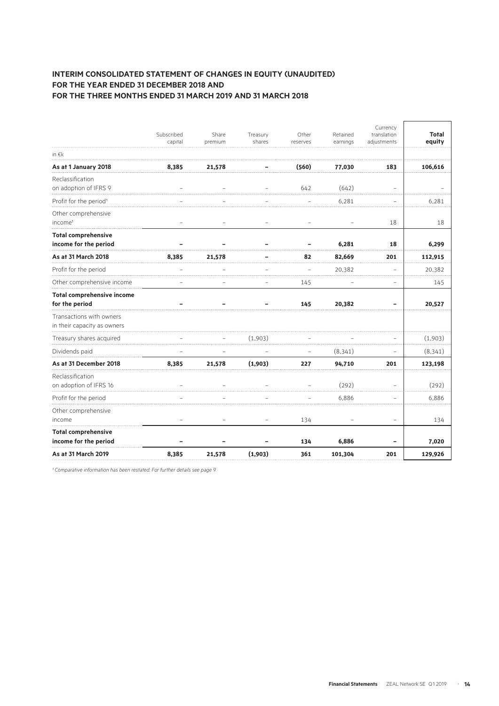#### **INTERIM CONSOLIDATED STATEMENT OF CHANGES IN EQUITY (UNAUDITED) FOR THE YEAR ENDED 31 DECEMBER 2018 AND FOR THE THREE MONTHS ENDED 31 MARCH 2019 AND 31 MARCH 2018**

|                                                         | Subscribed | Share   | Treasury                 | Other    | Retained | Currency<br>translation | <b>Total</b> |
|---------------------------------------------------------|------------|---------|--------------------------|----------|----------|-------------------------|--------------|
|                                                         | capital    | premium | shares                   | reserves | earnings | adjustments             | equity       |
| in $\epsilon$ k                                         |            |         |                          |          |          |                         |              |
| As at 1 January 2018                                    | 8,385      | 21,578  |                          | (560)    | 77,030   | 183                     | 106,616      |
| Reclassification<br>on adoption of IFRS 9               |            |         |                          | 642      | (642)    | ÷,                      |              |
| Profit for the period <sup>1</sup>                      |            |         |                          |          | 6,281    |                         | 6,281        |
| Other comprehensive<br>income <sup>1</sup>              |            |         |                          |          |          | 18                      | 18           |
| <b>Total comprehensive</b>                              |            |         |                          |          |          |                         |              |
| income for the period                                   |            |         |                          |          | 6,281    | 18                      | 6,299        |
| As at 31 March 2018                                     | 8,385      | 21,578  |                          | 82       | 82,669   | 201                     | 112,915      |
| Profit for the period                                   |            |         |                          |          | 20,382   | $\overline{a}$          | 20,382       |
| Other comprehensive income                              |            |         |                          | 145      |          |                         | 145          |
| <b>Total comprehensive income</b>                       |            |         |                          |          |          |                         |              |
| for the period                                          |            |         |                          | 145      | 20,382   |                         | 20,527       |
| Transactions with owners<br>in their capacity as owners |            |         |                          |          |          |                         |              |
| Treasury shares acquired                                |            |         | (1,903)                  |          |          |                         | (1,903)      |
| Dividends paid                                          |            |         |                          |          | (8, 341) | $\qquad \qquad -$       | (8, 341)     |
| As at 31 December 2018                                  | 8,385      | 21,578  | (1,903)                  | 227      | 94,710   | 201                     | 123,198      |
| Reclassification<br>on adoption of IFRS 16              |            |         |                          |          | (292)    |                         | (292)        |
| Profit for the period                                   |            |         |                          |          | 6,886    | .                       | 6,886        |
| Other comprehensive<br>income                           |            | ۳       | $\overline{\phantom{0}}$ | 134      |          | $\equiv$                | 134          |
| <b>Total comprehensive</b>                              |            |         |                          |          |          |                         |              |
| income for the period                                   |            |         |                          | 134      | 6,886    |                         | 7,020        |
| As at 31 March 2019                                     | 8,385      | 21,578  | (1,903)                  | 361      | 101,304  | 201                     | 129,926      |

*¹ Comparative information has been restated. For further details see page 9.*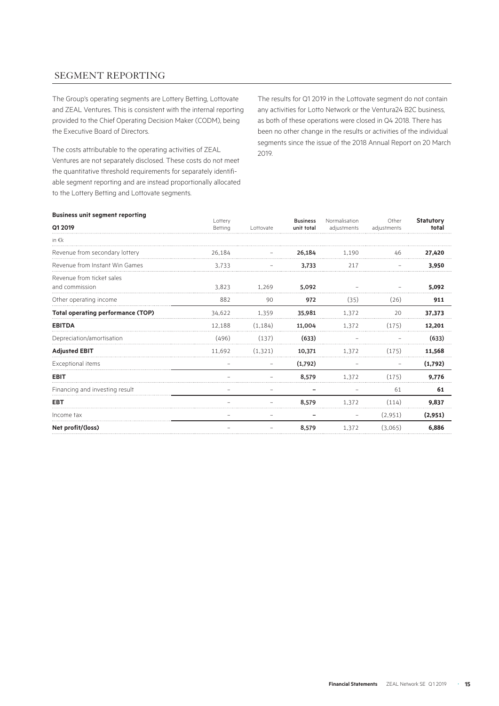# SEGMENT REPORTING

The Group's operating segments are Lottery Betting, Lottovate and ZEAL Ventures. This is consistent with the internal reporting provided to the Chief Operating Decision Maker (CODM), being the Executive Board of Directors.

The costs attributable to the operating activities of ZEAL Ventures are not separately disclosed. These costs do not meet the quantitative threshold requirements for separately identifiable segment reporting and are instead proportionally allocated to the Lottery Betting and Lottovate segments.

The results for Q1 2019 in the Lottovate segment do not contain any activities for Lotto Network or the Ventura24 B2C business, as both of these operations were closed in Q4 2018. There has been no other change in the results or activities of the individual segments since the issue of the 2018 Annual Report on 20 March 2019.

#### **Business unit segment reporting**

| Q1 2019                                     | Lottery<br>Betting | Lottovate | <b>Business</b><br>unit total | Normalisation<br>adjustments | Other<br>adjustments | <b>Statutory</b><br>total |
|---------------------------------------------|--------------------|-----------|-------------------------------|------------------------------|----------------------|---------------------------|
| in $\epsilon$ k                             |                    |           |                               |                              |                      |                           |
| Revenue from secondary lottery              | 26,184             |           | 26,184                        | 1,190                        | 46                   | 27,420                    |
| Revenue from Instant Win Games              | 3.733              |           | 3,733                         | 217                          |                      | 3.950                     |
| Revenue from ticket sales<br>and commission | 3,823              | 1,269     | 5,092                         |                              |                      | 5,092                     |
| Other operating income                      | 882                | 90        | 972                           | (35)                         | (26)                 | 911                       |
| <b>Total operating performance (TOP)</b>    | 34.622             | 1,359     | 35,981                        | 1.372                        | 20                   | 37,373                    |
| <b>EBITDA</b>                               | 12.188             | (1.184)   | 11,004                        | 1.372                        | (175)                | 12,201                    |
| Depreciation/amortisation                   | (496)              | (137)     | (633)                         |                              |                      | (633)                     |
| <b>Adjusted EBIT</b>                        | 11.692             | (1.321)   | 10,371                        | 1,372                        | (175)                | 11,568                    |
| Exceptional items                           |                    |           | (1,792)                       |                              |                      | (1,792)                   |
| <b>EBIT</b>                                 |                    |           | 8,579                         | 1.372                        | (175)                | 9,776                     |
| Financing and investing result              |                    |           |                               |                              | 61                   | 61                        |
| <b>EBT</b>                                  |                    |           | 8.579                         | 1.372                        | (114)                | 9,837                     |
| Income tax                                  |                    |           |                               |                              | (2,951)              | (2,951)                   |
| Net profit/(loss)                           |                    |           | 8,579                         | 1,372                        | (3.065)              | 6.886                     |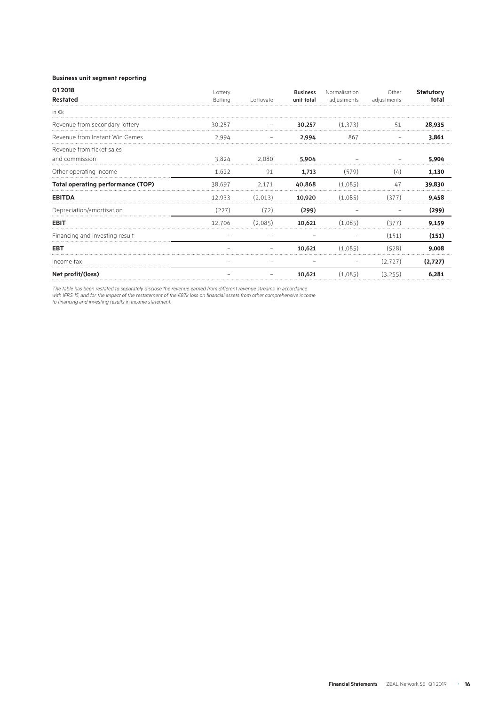#### **Business unit segment reporting**

| Q1 2018                                  | Lottery |           | <b>Business</b> | Normalisation | Other       | <b>Statutory</b> |
|------------------------------------------|---------|-----------|-----------------|---------------|-------------|------------------|
| <b>Restated</b>                          | Betting | Lottovate | unit total      | adjustments   | adjustments | total            |
| in $\epsilon$ k                          |         |           |                 |               |             |                  |
| Revenue from secondary lottery           | 30.257  |           | 30.257          | (1,373)       | 51          | 28,935           |
| Revenue from Instant Win Games           | 2,994   |           | 2,994           | 867           |             | 3,861            |
| Revenue from ticket sales                |         |           |                 |               |             |                  |
| and commission                           | 3,824   | 2,080     | 5,904           |               |             | 5,904            |
| Other operating income                   | 1.622   | 91        | 1,713           | (579)         | (4)         | 1,130            |
| <b>Total operating performance (TOP)</b> | 38.697  | 2.171     | 40,868          | (1.085)       | 47          | 39,830           |
| <b>EBITDA</b>                            | 12.933  | (2.013)   | 10,920          | (1.085)       | (377)       | 9,458            |
| Depreciation/amortisation                | (227)   | (72)      | (299)           |               |             | (299)            |
| <b>EBIT</b>                              | 12.706  | (2.085)   | 10,621          | (1.085)       | (377)       | 9.159            |
| Financing and investing result           |         |           |                 |               | (151)       | (151)            |
| EBT                                      |         |           | 10,621          | (1,085)       | (528)       | 9,008            |
| Income tax                               |         |           |                 |               | (2,727)     | (2,727)          |
| Net profit/(loss)                        |         |           | 10,621          | (1,085)       | (3,255)     | 6,281            |

*The table has been restated to separately disclose the revenue earned from different revenue streams, in accordance* 

*with IFRS 15, and for the impact of the restatement of the €87k loss on financial assets from other comprehensive income* 

*to financing and investing results in income statement.*